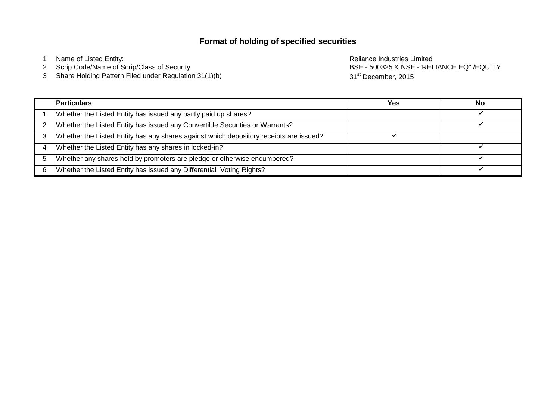# **Format of holding of specified securities**

1 Name of Listed Entity: **Name of Listed Entity:** All and the United States And the Reliance Industries Limited

Scrip Code/Name of Scrip/Class of Security

Share Holding Pattern Filed under Regulation 31(1)(b)

BSE - 500325 & NSE -"RELIANCE EQ" /EQUITY 31<sup>st</sup> December, 2015

| <b>Particulars</b>                                                                     | Yes | No |
|----------------------------------------------------------------------------------------|-----|----|
| Whether the Listed Entity has issued any partly paid up shares?                        |     |    |
| Whether the Listed Entity has issued any Convertible Securities or Warrants?           |     |    |
| Whether the Listed Entity has any shares against which depository receipts are issued? |     |    |
| Whether the Listed Entity has any shares in locked-in?                                 |     |    |
| Whether any shares held by promoters are pledge or otherwise encumbered?               |     |    |
| Whether the Listed Entity has issued any Differential Voting Rights?                   |     |    |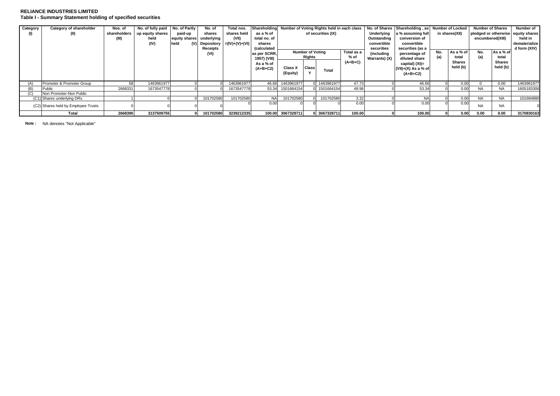## **RELIANCE INDUSTRIES LIMITED Table I - Summary Statement holding of specified securities**

| Category | Category of shareholder             | Nos. of      | No. of fully paid No. of Partly |                          | No. of         | Total nos.            | Shareholding |                                                         |              | Number of Voting Rights held in each class |            |                   | No. of Shares Shareholding, as Number of Locked |                |                                    | <b>Number of Shares</b> |              | Number of     |
|----------|-------------------------------------|--------------|---------------------------------|--------------------------|----------------|-----------------------|--------------|---------------------------------------------------------|--------------|--------------------------------------------|------------|-------------------|-------------------------------------------------|----------------|------------------------------------|-------------------------|--------------|---------------|
|          | (II)                                | shareholders | up equity shares                | paid-up                  | shares         | shares held           | as a % of    | of securities (IX)                                      |              |                                            | Underlying | a % assuming full |                                                 | in shares(XII) | pledged or otherwise equity shares |                         |              |               |
|          |                                     | (III)        | held                            | equity shares underlying |                | (VII)                 | total no. of |                                                         |              |                                            |            | Outstanding       | conversion of                                   |                |                                    | encumbered(XIII)        |              | held in       |
|          |                                     |              | (IV)                            | held                     | (V) Depository | $= (IV) + (V) + (VI)$ | shares       |                                                         |              |                                            |            | convertible       | convertible                                     |                |                                    |                         |              | dematerialize |
|          |                                     |              |                                 |                          | Receipts       |                       | (calculated  |                                                         |              |                                            | securities | securities (as a  |                                                 |                |                                    |                         | d form (XIV) |               |
|          |                                     |              |                                 |                          | (VI)           |                       | as per SCRR, | <b>Number of Voting</b><br>Total as a<br>% of<br>Rights |              | (including<br>percentage of                |            | No.               | As a % of                                       | No.            | As a % of                          |                         |              |               |
|          |                                     |              |                                 |                          |                |                       | 1957) (VIII) |                                                         |              | Warrants) (X)                              |            | diluted share     | (a)<br>total                                    |                | (a)                                | total                   |              |               |
|          |                                     |              |                                 |                          |                |                       | As a % of    |                                                         |              |                                            | $(A+B+C)$  |                   | capital) (XI)=                                  |                | <b>Shares</b>                      |                         | Shares       |               |
|          |                                     |              |                                 |                          |                |                       | $(A+B+C2)$   | <b>Class X</b>                                          | <b>Class</b> |                                            |            |                   | (VII)+(X) As a % of                             |                | held (b)                           |                         | held (b)     |               |
|          |                                     |              |                                 |                          |                |                       |              | (Equity)                                                |              | <b>Total</b>                               |            |                   | $(A+B+C2)$                                      |                |                                    |                         |              |               |
|          |                                     |              |                                 |                          |                |                       |              |                                                         |              |                                            |            |                   |                                                 |                |                                    |                         |              |               |
| (A)      | Promoter & Promoter Group           | 58           | 1463961977                      |                          |                | 1463961977            | 46.66        | 1463961977                                              |              | 0 1463961977                               | 47.73      |                   | 46.66                                           |                | 0.00                               |                         | 0.00         | 1463961977    |
| (B)      | Public                              | 2668331      | 1673547778                      |                          |                | 1673547778            | 53.34        | 1501664154                                              |              | 0 1501664154                               | 48.96      |                   | 53.34                                           |                | 0.00                               | <b>NA</b>               | <b>NA</b>    | 1605183306    |
| (ب)      | Non Promoter-Non Public             |              |                                 |                          |                |                       |              |                                                         |              |                                            |            |                   |                                                 |                |                                    |                         |              |               |
|          | (C1) Shares underlying DRs          |              |                                 |                          | 101702580      | 101702580             | NA.          | 101702580                                               |              | 101702580                                  | 3.32       |                   | <b>NA</b>                                       |                | 0.00                               | NA.                     | <b>NA</b>    | 101684880     |
|          | (C2) Shares held by Employee Trusts |              |                                 |                          |                |                       | 0.00         |                                                         |              |                                            | 0.00       |                   | 0.00                                            |                | 0.00                               | <b>NA</b>               | <b>NA</b>    |               |
|          |                                     |              |                                 |                          |                |                       |              |                                                         |              |                                            |            |                   |                                                 |                |                                    |                         |              |               |
|          | <b>Total</b>                        | 2668390      | 3137509755                      |                          | 101702580      | 3239212335            |              | 100.00 3067328711                                       |              | 0 3067328711                               | 100.00     |                   | 100.00                                          |                | 0.00                               | 0.00                    | 0.00         | 3170830163    |

**Note :** NA denotes "Not Applicable"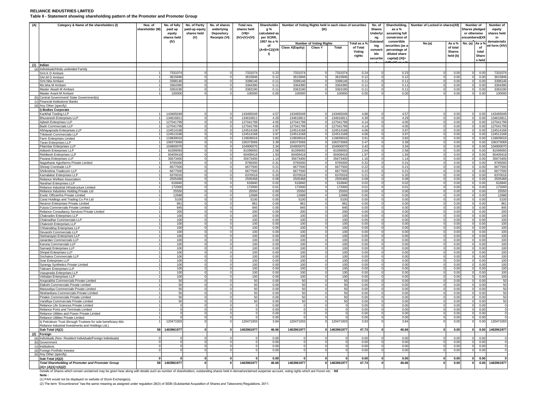### **RELIANCE INDUSTRIES LIMITED**

**Table II - Statement showing shareholding pattern of the Promoter and Promoter Group**

| (A) | Category & Name of the shareholders (I)                                              | Nos. of<br>shareholder (III) | No. of fully<br>paid up<br>equity<br>shares held | No. of Partly<br>paid-up equity<br>shares held<br>(V) | No. of shares<br>underlying<br>Depository<br><b>Receipts (VI)</b> | Total nos.<br>shares held<br>$(VII)$ =<br>$(IV)+(V)+(VI)$ | g %<br>calculated as<br>per SCRR, | Shareholdin Number of Voting Rights held in each class of securities<br>(IX) |                          |                                                |                  | No. of<br><b>Shares</b><br>Underlyi<br>ng | as a %<br>assuming full<br>conversion of | Shareholding, Number of Locked in shares(XII) |                           | Number of<br>Shares pledged<br>or otherwise<br>encumbered(XII |                        | Number of<br>eauitv<br>shares held<br>in |
|-----|--------------------------------------------------------------------------------------|------------------------------|--------------------------------------------------|-------------------------------------------------------|-------------------------------------------------------------------|-----------------------------------------------------------|-----------------------------------|------------------------------------------------------------------------------|--------------------------|------------------------------------------------|------------------|-------------------------------------------|------------------------------------------|-----------------------------------------------|---------------------------|---------------------------------------------------------------|------------------------|------------------------------------------|
|     |                                                                                      |                              | (IV)                                             |                                                       |                                                                   |                                                           | 1957 As a %                       |                                                                              |                          | Total as a 9<br><b>Number of Voting Rights</b> |                  | <b>Dutstan</b>                            | convertible                              | No.(a)<br>As a %                              |                           | No. (a)                                                       | As a 9                 | dematerializ                             |
|     |                                                                                      |                              |                                                  |                                                       |                                                                   |                                                           | of<br>(A+B+C2)(VII                | <b>Class X(Equity)</b>                                                       | <b>Class Y</b>           | <b>Total</b>                                   | of Total         | ing<br>convert                            | securities (as<br>percentage of          |                                               | of total                  |                                                               | of                     | ed form (XIV)                            |
|     |                                                                                      |                              |                                                  |                                                       |                                                                   |                                                           | $\mathbf{D}$                      |                                                                              |                          |                                                | Voting<br>rights | ble<br>securitie                          | diluted share<br>capital) (XI)=          |                                               | <b>Shares</b><br>held (b) |                                                               | total<br>Share<br>held |                                          |
|     | $(1)$ Indian                                                                         |                              |                                                  |                                                       |                                                                   |                                                           |                                   |                                                                              |                          |                                                |                  |                                           |                                          |                                               |                           |                                                               |                        |                                          |
|     | (a) Individuals/Hindu undivided Family<br>Smt.K D Ambani                             |                              | 7331074                                          |                                                       |                                                                   | 7331074                                                   | 0.23                              | 733107                                                                       |                          | 7331074                                        | 0.24             |                                           | 0.21                                     |                                               | 0.0                       |                                                               | 0.0                    | 733107                                   |
|     | Shri M D Amhani                                                                      |                              | 3615846                                          |                                                       |                                                                   | 3615846                                                   | 0.12                              | 361584                                                                       | $\Omega$                 | 3615846                                        | 0.12             |                                           | 0.12                                     |                                               | 0.00                      |                                                               | 0.00                   | 3615846                                  |
|     | Smt.Nita Ambani                                                                      |                              | 3398146                                          |                                                       |                                                                   | 3398146                                                   | 0.11                              | 339814                                                                       |                          | 3398146                                        | 0.11             |                                           | 0.11                                     |                                               | 0.00                      |                                                               | 0.0(                   | 339814                                   |
|     | Ms.Isha M Ambani                                                                     |                              | 336439                                           |                                                       |                                                                   | 336439                                                    | 0.11                              | 336439                                                                       |                          | 336439                                         | 0.11             |                                           | 0.11                                     |                                               | 0.0(                      |                                                               | 0.0                    | 336439                                   |
|     | Master Akash M Ambani<br>Master Anant M Ambani                                       |                              | 3363190<br>100000                                |                                                       |                                                                   | 3363190<br>100000                                         | 0.11<br>0.00                      | 336319<br>10000                                                              | $\Omega$                 | 336319<br>100000                               | 0.11<br>0.00     |                                           | 0.11<br>0.00                             |                                               | 0.0<br>0.00               |                                                               | 0.0<br>0.00            | 336319<br>10000                          |
|     | Central Government/ State Government(s)                                              |                              |                                                  |                                                       |                                                                   |                                                           |                                   |                                                                              |                          |                                                |                  |                                           |                                          |                                               |                           |                                                               |                        |                                          |
| (c) | Financial Institutions/ Banks                                                        |                              |                                                  |                                                       |                                                                   |                                                           |                                   |                                                                              |                          |                                                |                  |                                           |                                          |                                               |                           |                                                               |                        |                                          |
| (d) | Any Other (specify)                                                                  |                              |                                                  |                                                       |                                                                   |                                                           |                                   |                                                                              |                          |                                                |                  |                                           |                                          |                                               |                           |                                                               |                        |                                          |
|     | i) Bodies Corporate<br>Kankhal Trading LLP                                           |                              | 14346504                                         |                                                       |                                                                   | 14346504                                                  | 4.57                              | 14346504                                                                     |                          | 14346504                                       | 4.68             |                                           | 4.57                                     |                                               | 0.00                      |                                                               | 0.00                   | 14346504                                 |
|     | <b>Bhuvanesh Enterprises LLP</b>                                                     |                              | 134616811                                        |                                                       |                                                                   | 134616811                                                 | 4.29                              | 13461681                                                                     |                          | 13461681                                       | 4.39             |                                           | 4.2                                      |                                               | 0.00                      |                                                               | 0.00                   | 13461681                                 |
|     | Ajitesh Enterprises LLP                                                              |                              | 127041799                                        |                                                       |                                                                   | 127041799                                                 | 4.05                              | 127041799                                                                    |                          | 12704179                                       | 4.14             |                                           | 4.05                                     |                                               | 0.00                      |                                                               | 0.00                   | 12704179                                 |
|     | <b>Badri Commercials LLP</b>                                                         |                              | 127041799                                        |                                                       |                                                                   | 127041799                                                 | 4.05                              | 127041799                                                                    |                          | 12704179                                       | 4.14             |                                           | 4.05                                     |                                               | 0.00                      |                                                               | 0.00                   | 12704179                                 |
|     | Abhavaprada Enterprises LLP<br>Trilokesh Commercials LLP                             |                              | 124514168<br>124513168                           |                                                       |                                                                   | 124514168<br>124513168                                    | 3.97<br>3.97                      | 124514168<br>124513168                                                       |                          | 12451416<br>124513168                          | 4.06<br>4.06     |                                           | 3.97<br>3.97                             |                                               | 0.00<br>0.00              |                                                               | 0.00<br>0.00           | 12451416<br>12451316                     |
|     | Farm Enterprises Limited                                                             |                              | 119839016                                        |                                                       | $\Omega$                                                          | 119839016                                                 | 3.82                              | 119839016                                                                    | $\Omega$                 | 11983901                                       | 3.91             |                                           | 3.82                                     |                                               | 0.00                      |                                                               | 0.00                   | 11983901                                 |
|     | Taran Enterprises LLP                                                                |                              | 106373069                                        |                                                       |                                                                   | 106373069                                                 | 3.39                              | 106373069                                                                    |                          | 10637306                                       | 3.47             |                                           | 3.39                                     |                                               | 0.00                      |                                                               | 0.00                   | 10637306                                 |
|     | Pitambar Enterprises LLP                                                             |                              | 104900070                                        |                                                       |                                                                   | 10490007                                                  | 3.34                              | 104900070                                                                    | $\Omega$                 | 10490007                                       | 3.42             |                                           | 3.34                                     |                                               | 0.00                      |                                                               | 0.00                   | 10490007                                 |
|     | Adisesh Enterprises LLP<br>Rishikesh Enterprises LLP                                 |                              | 8109909<br>60409418                              | $\Omega$                                              | $\Omega$                                                          | 8109909<br>60409418                                       | 2.58<br>1.93                      | 8109909<br>60409418                                                          | $\Omega$                 | 8109909<br>60409418                            | 2.64<br>1.97     |                                           | 2.58<br>1.93                             |                                               | 0.00<br>0.00              |                                                               | 0.0<br>0.00            | 8109909<br>6040941                       |
|     | Pavana Enterprises LLP                                                               |                              | 35673400                                         | $\Omega$                                              | $\mathbf{O}$                                                      | 35673400                                                  | 1.14                              | 35673400                                                                     | $^{\circ}$               | 35673400                                       | 1.16             |                                           | 1.14                                     |                                               | 0.00                      |                                                               | 0.00                   | 35673400                                 |
|     | Nagothane Agrofarms Private Limited                                                  |                              | 9765000                                          | $\Omega$                                              | $\Omega$                                                          | 9765000                                                   | 0.31                              | 9765000                                                                      | $\Omega$                 | 9765000                                        | 0.32             |                                           | 0.31                                     |                                               | 0.00                      |                                                               | 0.00                   | 9765000                                  |
|     | Shreeii Comtrade LLP                                                                 |                              | 6677500                                          |                                                       |                                                                   | 6677500                                                   | 0.21                              | 6677500                                                                      | $\Omega$                 | 667750                                         | 0.22             |                                           | 0.21                                     |                                               | 0.00                      |                                                               | 0.0(                   | 667750                                   |
|     | Shrikrishna Tradecom LLP<br>Kamalakar Enterprises LLP                                |                              | 6677500<br>6370016                               |                                                       | $\Omega$<br>$\Omega$                                              | 6677500<br>6370016                                        | 0.21<br>0.20                      | 6677500<br>6370016                                                           | $\Omega$                 | 6677500<br>6370016                             | 0.22<br>0.21     |                                           | 0.21<br>0.20                             |                                               | 0.00<br>0.00              |                                                               | 0.00<br>0.00           | 6677500<br>637001                        |
|     | Reliance Welfare Association                                                         |                              | 2505468                                          |                                                       | $\Omega$                                                          | 2505468                                                   | 0.08                              | 2505468                                                                      | $\Omega$                 | 2505468                                        | 0.08             |                                           | 0.08                                     |                                               | 0.00                      |                                                               | 0.00                   | 250546                                   |
|     | Narahari Enterprises LLP                                                             |                              | 616840                                           |                                                       |                                                                   | 616840                                                    | 0.02                              | 616840                                                                       |                          | 616840                                         | 0.02             |                                           | 0.02                                     |                                               | 0.00                      |                                                               | 0.00                   | 616840                                   |
|     | Reliance Industrial Infrastructure Limited                                           | 11                           | 172000                                           | $\Omega$                                              | $\Omega$<br>$\Omega$                                              | 172000                                                    | 0.01                              | 172000                                                                       | $\Omega$                 | 172000                                         | 0.01             |                                           | 0.01                                     |                                               | 0.00                      |                                                               | 0.00                   | 172000                                   |
|     | Reliance Industries Holding Private Ltd<br>Exotic Officeinfra Private Limited        |                              | 25550<br>12688                                   |                                                       | <sup>0</sup>                                                      | 25550<br>12688                                            | 0.00<br>0.00                      | 25550<br>12688                                                               | $\Omega$<br>$\Omega$     | 2555<br>12688                                  | 0.00<br>0.00     |                                           | 0.00<br>0.00                             |                                               | 0.00<br>0.00              |                                                               | 0.00<br>0.00           | 25550<br>12688                           |
|     | Carat Holdings and Trading Co Pvt Ltd                                                |                              | 5100                                             |                                                       |                                                                   | 5100                                                      | 0.00                              | 5100                                                                         |                          | 510                                            | 0.00             |                                           | 0.00                                     |                                               | 0.00                      |                                                               | 0.0(                   | 5100                                     |
|     | Neutron Enterprises Private Limited                                                  | 1                            | 861                                              | $\Omega$                                              | $\Omega$                                                          | 861                                                       | 0.00                              | 861                                                                          | $\Omega$                 | 861                                            | 0.00             |                                           | 0.00                                     |                                               | 0.00                      |                                                               | 0.00                   | 861                                      |
|     | Futura Commercials Private Limited<br>Reliance Consultancy Services Private Limited  | -1                           | 845<br>200                                       | $\Omega$                                              | $\Omega$                                                          | 845<br>200                                                | 0.00<br>0.00                      | 845<br>200                                                                   | $^{\circ}$<br>$\Omega$   | 845<br>200                                     | 0.00<br>0.00     |                                           | 0.00<br>0.00                             |                                               | 0.00<br>0.00              |                                                               | 0.00<br>0.00           | 845<br>200                               |
|     | Chakradev Enterprises LLP                                                            |                              | 100                                              | $\Omega$                                              | $\Omega$                                                          | 100                                                       | 0.00                              | 100                                                                          |                          | 100                                            | 0.00             |                                           | 0.0(                                     |                                               | 0.0(                      |                                                               | 0.0(                   | 100                                      |
|     | Chakradhar Commercials LLP                                                           | 1                            | 100                                              | $\Omega$                                              | $\Omega$                                                          | 100                                                       | 0.00                              | 100                                                                          | $\Omega$                 | 100                                            | 0.00             |                                           | 0.00                                     |                                               | 0.00                      |                                                               | 0.00                   | 100                                      |
|     | Chakresh Enterprises LLP                                                             |                              | 100                                              |                                                       |                                                                   | 100                                                       | 0.00                              | 100                                                                          | $\mathbf{0}$             | 100                                            | 0.00             |                                           | 0.00                                     |                                               | 0.00                      |                                                               | 0.00                   | 100                                      |
|     | Chhatrabhui Enterprises LLP                                                          |                              | 100<br>100                                       | $\Omega$                                              | $\Omega$                                                          | 100<br>100                                                | 0.00<br>0.00                      | 100<br>100                                                                   | $\Omega$                 | 100<br>100                                     | 0.00<br>0.00     |                                           | 0.00<br>0.00                             |                                               | 0.00<br>0.00              |                                                               | 0.00<br>0.00           | 100<br>100                               |
|     | Devarshi Commercials LLP<br>Harinarayan Enterprises LLP                              | 1                            | 100                                              |                                                       | $\Omega$                                                          | 100                                                       | 0.00                              | 100                                                                          | $\Omega$                 | 100                                            | 0.00             |                                           | 0.00                                     |                                               | 0.00                      |                                                               | 0.00                   | 100                                      |
|     | Janardan Commercials LLP                                                             |                              | 100                                              |                                                       |                                                                   | 100                                                       | 0.00                              | 100                                                                          | $\mathbf{0}$             | 100                                            | 0.00             |                                           | 0.00                                     |                                               | 0.00                      |                                                               | 0.00                   | 100                                      |
|     | Karuna Commercials LLP                                                               |                              | 100                                              |                                                       | <sup>0</sup>                                                      | 100                                                       | 0.00                              | 100                                                                          | $\Omega$                 | 100                                            | 0.00             |                                           | 0.00                                     |                                               | 0.00                      |                                                               | 0.00                   | 100                                      |
|     | Samarjit Enterprises LLP<br>Shripal Enterprises LLP                                  | 1                            | 100<br>100                                       |                                                       | $\Omega$                                                          | 100<br>100                                                | 0.00<br>0.00                      | 100<br>100                                                                   | $\Omega$                 | 100<br>100                                     | 0.00<br>0.00     |                                           | 0.00<br>0.00                             |                                               | 0.00<br>0.00              |                                                               | 0.0<br>0.00            | 100<br>100                               |
|     | Srichakra Commercials LLP                                                            |                              | 100                                              | $\Omega$                                              | $\Omega$                                                          | 100                                                       | 0.00                              | 100                                                                          | $^{\circ}$               | 100                                            | 0.00             |                                           | 0.00                                     |                                               | 0.00                      |                                                               | 0.00                   | 100                                      |
|     | Svar Enterprises LLP                                                                 |                              | 100                                              |                                                       | $\Omega$                                                          | 100                                                       | 0.00                              | 100                                                                          | $\Omega$                 | 100                                            | 0.00             |                                           | 0.00                                     |                                               | 0.00                      |                                                               | 0.00                   | 100                                      |
|     | Synergy Synthetics Private Limited                                                   |                              | 100                                              |                                                       |                                                                   | 100                                                       | 0.00                              | 100                                                                          |                          | 100                                            | 0.00             |                                           | 0.0(                                     |                                               | 0.00                      |                                                               | 0.0(                   | 100                                      |
|     | <b>Tattvam Enterprises LLP</b><br>Vasuprada Enterprises LLP                          |                              | 100<br>100                                       | $\Omega$                                              | $\Omega$                                                          | 100<br>100                                                | 0.00<br>0.00                      | 100<br>100                                                                   | $\Omega$<br>$\Omega$     | 100<br>100                                     | 0.00<br>0.00     |                                           | 0.00<br>0.00                             |                                               | 0.00<br>0.00              |                                                               | 0.00<br>0.00           | 100<br>100                               |
|     | Vishatan Enterprises LLP                                                             |                              | 100                                              |                                                       | $\Omega$                                                          | 100                                                       | 0.00                              | 100                                                                          | $\Omega$                 | 100                                            | 0.00             |                                           | 0.00                                     |                                               | 0.00                      |                                                               | 0.00                   | 100                                      |
|     | Anuprabha Commercials Private Limited                                                |                              | 50                                               |                                                       |                                                                   | 50                                                        | 0.00                              | 50                                                                           |                          | 50                                             | 0.00             |                                           | 0.00                                     |                                               | 0.00                      |                                                               | 0.00                   | 50                                       |
|     | Elakshi Commercials Private Limited                                                  | 1                            | 50                                               |                                                       |                                                                   | 50                                                        | 0.00                              | 50                                                                           | $\Omega$                 | 50                                             | 0.00             |                                           | 0.00                                     |                                               | 0.00                      |                                                               | 0.00                   | 50                                       |
|     | Manuvidya Commercials Private Limited<br>Nirahankara Commercials Private Limited     | -1                           | 50<br>50                                         | $\Omega$                                              | $\Omega$                                                          | 50<br>50                                                  | 0.00<br>0.00                      | 50<br>50                                                                     | $\mathbf{0}$<br>$\Omega$ | 50<br>50                                       | 0.00<br>0.00     |                                           | 0.00<br>0.00                             |                                               | 0.0(<br>0.00              |                                                               | 0.00<br>0.00           | 50<br>50                                 |
|     | Pinakin Commercials Private Limited                                                  |                              | 50                                               |                                                       |                                                                   | 50                                                        | 0.00                              | 50                                                                           |                          |                                                | 0.00             |                                           | 0.00                                     |                                               | 0.00                      |                                                               | 0.00                   | 50                                       |
|     | Vandhva Commercials Private Limited                                                  |                              | 50                                               |                                                       |                                                                   | 50                                                        | 0.00                              | 50                                                                           | $\Omega$                 | 50                                             | 0.00             |                                           | 0 <sup>0</sup>                           |                                               | 0.00                      |                                                               | 0.00                   | 50                                       |
|     | Reliance Life Sciences Private Limited                                               |                              |                                                  |                                                       |                                                                   |                                                           | 0.00                              |                                                                              | $\mathbf 0$              |                                                | 0.00             |                                           | 0.00                                     |                                               | 0.00                      |                                                               | 0.00                   |                                          |
|     | Reliance Ports and Terminals Limited<br>Reliance Utilities and Power Private Limited |                              |                                                  |                                                       |                                                                   |                                                           | 0.00<br>0.00                      |                                                                              | $\Omega$                 |                                                | 0.00<br>0.00     |                                           | 0.00<br>0.00                             |                                               | 0.00<br>0.0               |                                                               | 0.00<br>0.0            |                                          |
|     | Reliance Utilities Private Limited                                                   |                              |                                                  |                                                       |                                                                   | $\Omega$                                                  | 0.00                              |                                                                              | $\Omega$                 |                                                | 0.00             |                                           | 0.00                                     |                                               | 0.00                      |                                                               | 0.00                   |                                          |
|     | i) Petroleum Trust (through Trustees for sole beneficiary-M/s                        |                              | 120471003                                        |                                                       |                                                                   | 120471003                                                 | 3.84                              | 120471003                                                                    |                          | 120471003                                      | 3.93             |                                           | 3.84                                     |                                               | 0.00                      |                                                               | 0.00                   | 120471003                                |
|     | Reliance Industrial Investments and Holdings Ltd.)                                   | 58                           |                                                  |                                                       |                                                                   |                                                           |                                   | 1463961977                                                                   |                          |                                                | 47.73            |                                           | 46.66                                    |                                               |                           |                                                               |                        |                                          |
| (2) | Sub-Total (A)(1)<br>Foreign                                                          |                              | 1463961977                                       |                                                       |                                                                   | 1463961977                                                | 46.66                             |                                                                              |                          | 1463961977                                     |                  |                                           |                                          |                                               | 0.00                      |                                                               | 0.00                   | 1463961977                               |
|     | (a) Individuals (Non-Resident Individuals/Foreign Individuals)                       |                              |                                                  |                                                       |                                                                   |                                                           | 0.00                              |                                                                              |                          |                                                | 0.00             |                                           | 0.00                                     |                                               | 0.00                      |                                                               | 0.00                   |                                          |
|     | (b) Government                                                                       |                              |                                                  |                                                       |                                                                   |                                                           | 0.00                              |                                                                              | $\Omega$                 |                                                | 0.00             |                                           | 0.00                                     |                                               | 0.00                      |                                                               | 0.00                   |                                          |
| (c) | Institutions                                                                         |                              |                                                  |                                                       |                                                                   |                                                           | 0.00                              |                                                                              |                          |                                                | 0.00             |                                           | 0.00                                     |                                               | 0.00                      |                                                               | 0.00                   |                                          |
| (d) | Foreign Portfolio Investor<br>(e) Any Other (specify)                                |                              |                                                  |                                                       |                                                                   |                                                           | 0.00                              |                                                                              |                          |                                                | 0.00             |                                           | 0.00                                     |                                               | 0.00                      |                                                               | 0.00                   |                                          |
|     | Sub-Total (A)(2)                                                                     |                              |                                                  |                                                       |                                                                   |                                                           | 0.00                              |                                                                              |                          |                                                | 0.00             |                                           | 0.00                                     |                                               | 0.00                      |                                                               | 0.00                   |                                          |
|     | <b>Total Shareholding of Promoter and Promoter Group</b><br>$(A)=(A)(1)+(A)(2)$      | 58                           | 1463961977                                       |                                                       |                                                                   | 1463961977                                                | 46.66                             | 1463961977                                                                   |                          | 1463961977                                     | 47.73            |                                           | 46.66                                    |                                               | 0.00                      |                                                               | 0.00                   | 1463961977                               |

Details of Shares which remain unclaimed may be given hear along with details such as number of shareholders, outstanding shares held in demat/unclaimed suspense account, voting rights which are frozen etc. - Nil

**Note :** 

(1) PAN would not be displayed on website of Stock Exchange(s).

(2) The term "Encumbrance" has the same meaning as assigned under regulation 28(3) of SEBI (Substantial Acquisition of Shares and Takeovers) Regulations, 2011.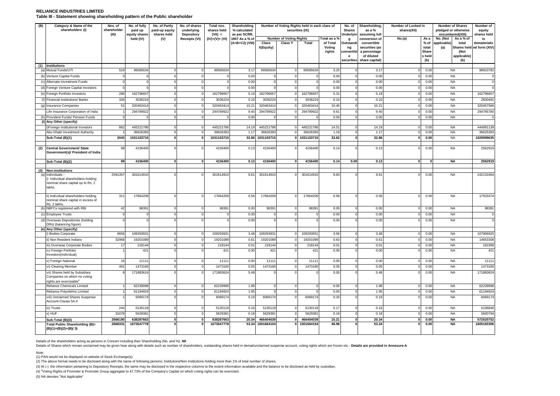## **RELIANCE INDUSTRIES LIMITED Table III - Statement showing shareholding pattern of the Public shareholder**

| (B) | Category & Name of the<br>shareholders (I)                                                    | Nos. of<br>shareholder<br>(III) | No. of fully<br>paid up<br>equity shares | No. of Partly<br>paid-up equity<br>shares held | No. of shares<br>underlying<br><b>Depository</b> | Total nos.<br>shares held<br>$(VII) =$<br>$(IV)+(V)+(VI)$ | Shareholding<br>% calculated<br>as per SCRR,<br>1957 As a % of |                      |                                | Number of Voting Rights held in each class of<br>securities (IX) |                              | No. of<br><b>Shares</b><br>Underlyin | Shareholding,<br>as $a\%$<br>assuming full    | Number of Locked in<br>shares(XII) |                          | <b>Number of Shares</b><br>pledged or otherwise<br>encumbered(XIII) |                                     | Number of<br>equity<br>shares held |
|-----|-----------------------------------------------------------------------------------------------|---------------------------------|------------------------------------------|------------------------------------------------|--------------------------------------------------|-----------------------------------------------------------|----------------------------------------------------------------|----------------------|--------------------------------|------------------------------------------------------------------|------------------------------|--------------------------------------|-----------------------------------------------|------------------------------------|--------------------------|---------------------------------------------------------------------|-------------------------------------|------------------------------------|
|     |                                                                                               |                                 | held (IV)                                | (V)                                            | Receipts (VI)                                    |                                                           |                                                                |                      | <b>Number of Voting Rights</b> |                                                                  | Total as a %                 | g                                    | conversion of                                 | No.(a)                             | As a                     | No. (Not                                                            | As a % of                           | in                                 |
|     |                                                                                               |                                 |                                          |                                                |                                                  |                                                           | (A+B+C2) (VIII)                                                | Class<br>X(Equity)   | <b>Class Y</b>                 | <b>Total</b>                                                     | of Total<br>Voting<br>rights | Outstandi<br>ng<br>convertibl        | convertible<br>securities (as<br>a percentage |                                    | $%$ of<br>total<br>Share | applicable)<br>(a)                                                  | total<br><b>Shares held</b><br>(Not | dematerializ<br>ed form (XIV)      |
|     |                                                                                               |                                 |                                          |                                                |                                                  |                                                           |                                                                |                      |                                |                                                                  |                              | е<br>securities                      | of diluted<br>share capital)                  |                                    | s held<br>(b)            |                                                                     | applicable)<br>(b)                  |                                    |
|     | (1) Institutions                                                                              |                                 |                                          |                                                |                                                  |                                                           |                                                                |                      |                                |                                                                  |                              |                                      |                                               |                                    |                          |                                                                     |                                     |                                    |
| (a) | Mutual Funds/UTI                                                                              | 524                             | 9958563                                  |                                                |                                                  | 99585634                                                  | 3.17                                                           | 99585634             |                                | 99585634                                                         | 3.25                         |                                      | 3.17                                          |                                    | 0.00                     | <b>NA</b>                                                           |                                     | 98923782                           |
| (b) | Venture Capital Funds                                                                         |                                 |                                          |                                                |                                                  |                                                           | 0.00                                                           |                      |                                |                                                                  | 0.00                         |                                      | 0.00                                          |                                    | 0.00                     | <b>NA</b>                                                           |                                     |                                    |
| (c) | Alternate Investment Funds                                                                    |                                 |                                          |                                                |                                                  |                                                           | 0.00                                                           |                      |                                |                                                                  | 0.00                         |                                      | 0.00                                          |                                    | 0.00                     | <b>NA</b>                                                           |                                     |                                    |
| (d) | Foreign Venture Capital Investors                                                             |                                 |                                          |                                                |                                                  |                                                           | 0.00                                                           |                      |                                |                                                                  | 0.00                         |                                      | 0.00                                          |                                    | 0.00                     | <b>NA</b>                                                           |                                     |                                    |
| (e) | Foreign Portfolio Investors                                                                   | 280                             | 16279665                                 |                                                |                                                  | 162796657                                                 | 5.19                                                           | 162796657            |                                | 162796657                                                        | 5.31                         |                                      | 5.19                                          |                                    | 0.00                     | <b>NA</b>                                                           |                                     | 162796657                          |
|     | Financial Institutions/ Banks                                                                 | 326                             | 3036224                                  |                                                |                                                  | 303622                                                    | 0.10                                                           | 303622               |                                | 3036224                                                          | 0.10                         |                                      | 0.10                                          |                                    | 0.00                     | <b>NA</b>                                                           |                                     | 283049                             |
| (g) | <b>Insurance Companies</b>                                                                    | 51                              | 32046341                                 |                                                |                                                  | 320463414                                                 | 10.21                                                          | 320463414            |                                | 320463414                                                        | 10.45                        |                                      | 10.21                                         |                                    | 0.00                     | <b>NA</b>                                                           |                                     | 320457566                          |
|     | Life Insurance Corporation of India                                                           |                                 | 294789922                                |                                                |                                                  | 294789922                                                 | 9.40                                                           | 294789922            |                                | 294789922                                                        | 9.61                         |                                      | 9.40                                          |                                    | 0.00                     | <b>NA</b>                                                           |                                     | 294785780                          |
| (h) | Provident Funds/ Pension Funds                                                                |                                 |                                          |                                                |                                                  |                                                           | 0.00                                                           |                      |                                |                                                                  | 0.00                         |                                      | 0.00                                          |                                    | 0.00                     | <b>NA</b>                                                           |                                     |                                    |
|     | (i) Any Other (specify)                                                                       |                                 |                                          |                                                |                                                  |                                                           |                                                                |                      |                                |                                                                  |                              |                                      |                                               |                                    |                          |                                                                     |                                     |                                    |
|     | i)Foreign Institutional Investors<br>Abu Dhabi Investment Authority                           | 862                             | 445221786<br>3662639                     |                                                |                                                  | 445221786<br>36626393                                     | 14.19<br>1.17                                                  | 445221786<br>3662639 | $\Omega$                       | 445221786<br>36626393                                            | 14.51<br>1.19                |                                      | 14.19<br>1.17                                 |                                    | 0.00<br>0.00             | NA<br><b>NA</b>                                                     |                                     | 444991139<br>3662538               |
|     | Sub-Total (B)(1)                                                                              | 2043                            | 1031103715                               | $\mathbf{0}$                                   |                                                  | 1031103715                                                | 32.86                                                          | 1031103715           |                                | 1031103715                                                       | 33.62                        | $\mathbf{0}$                         | 32.86                                         |                                    | 0.00                     | <b>NA</b>                                                           |                                     | 1029999635                         |
|     |                                                                                               |                                 |                                          |                                                |                                                  |                                                           |                                                                |                      |                                |                                                                  |                              |                                      |                                               |                                    |                          |                                                                     |                                     |                                    |
| (2) | <b>Central Government/ State</b>                                                              | 98                              | 4156400                                  |                                                |                                                  | 4156400                                                   | 0.13                                                           | 4156400              |                                | 4156400                                                          | 0.14                         |                                      | 0.13                                          |                                    | 0.00                     | <b>NA</b>                                                           |                                     | 2562919                            |
|     | Government(s)/ President of India                                                             |                                 |                                          |                                                |                                                  |                                                           |                                                                |                      |                                |                                                                  |                              |                                      |                                               |                                    |                          |                                                                     |                                     |                                    |
|     | Sub-Total (B)(2)                                                                              | 98                              | 4156400                                  | $\mathbf{0}$                                   | $\mathbf{0}$                                     | 4156400                                                   | 0.13                                                           | 4156400              | $\Omega$                       | 4156400                                                          | 0.14                         | 0.00                                 | 0.13                                          | ΩI                                 |                          | <b>NA</b>                                                           |                                     | 2562919                            |
| (3) | <b>Non-institutions</b>                                                                       |                                 |                                          |                                                |                                                  |                                                           |                                                                |                      |                                |                                                                  |                              |                                      |                                               |                                    |                          |                                                                     |                                     |                                    |
| (a) | Individuals<br>Individual shareholders holding<br>nominal share capital up to Rs. 2<br>lakhs. | 2591357                         | 301614910                                |                                                |                                                  | 301614910                                                 | 9.61                                                           | 301614910            |                                | 301614910                                                        | 9.83                         |                                      | 9.61                                          |                                    | 0.00                     | <b>NA</b>                                                           |                                     | 242131664                          |
|     | ii) Individual shareholders holding<br>nominal share capital in excess of<br>Rs. 2 lakhs.     | 311                             | 17664209                                 |                                                |                                                  | 17664209                                                  | 0.56                                                           | 17664209             |                                | 17664209                                                         | 0.58                         | $\Omega$                             | 0.56                                          |                                    | 0.00                     | <b>NA</b>                                                           |                                     | 17503374                           |
| (b) | NBFCs registered with RBI                                                                     | 42                              | 9839 <sup>-</sup>                        |                                                |                                                  | 9839                                                      | 0.00                                                           | 98391                |                                | 98391                                                            | 0.00                         |                                      | 0.00                                          |                                    | 0.00                     | <b>NA</b>                                                           |                                     | 9839                               |
|     | <b>Employee Trusts</b>                                                                        |                                 |                                          |                                                |                                                  |                                                           | 0.00                                                           |                      | $\Omega$                       |                                                                  | 0.00                         |                                      | 0.00                                          |                                    | 0.00                     | <b>NA</b>                                                           |                                     |                                    |
| (d) | Overseas Depositories (holding<br>DRs) (balancing figure)                                     |                                 |                                          |                                                |                                                  |                                                           | 0.00                                                           |                      | $\Omega$                       |                                                                  | 0.00                         |                                      | 0.00                                          |                                    | 0.00                     | <b>NA</b>                                                           |                                     |                                    |
|     | Any Other (specify)                                                                           |                                 |                                          |                                                |                                                  |                                                           |                                                                |                      |                                |                                                                  |                              |                                      |                                               |                                    |                          |                                                                     |                                     |                                    |
|     | Bodies Corporate                                                                              | 9656                            | 10929393                                 |                                                |                                                  | 10929393                                                  | 3.48                                                           | 10929393             |                                | 109293931                                                        | 3.56                         |                                      | 3.48                                          |                                    | 0.00                     | <b>NA</b>                                                           |                                     | 107906925                          |
|     | i) Non Resident Indians                                                                       | 32968                           | 1920108                                  |                                                |                                                  | 19201089                                                  | 0.61                                                           | 19201089             |                                | 19201089                                                         | 0.63                         |                                      | 0.61                                          |                                    | 0.00                     | <b>NA</b>                                                           |                                     | 14653308                           |
|     | ii) Overseas Corporate Bodies<br>v) Foreign Portfolio                                         | 17                              | 21814<br>42'                             | $\Omega$                                       | $\Omega$                                         | 218144<br>421                                             | 0.01<br>0.00                                                   | 218144<br>421        | $\Omega$                       | 218144<br>421                                                    | 0.01<br>0.00                 |                                      | 0.01<br>0.00                                  |                                    | 0.00<br>0.00             | <b>NA</b><br><b>NA</b>                                              |                                     | 181958<br>421                      |
|     | Investors(Individual)                                                                         |                                 |                                          |                                                |                                                  |                                                           |                                                                |                      |                                |                                                                  |                              |                                      |                                               |                                    |                          |                                                                     |                                     |                                    |
|     | v) Foreign National                                                                           | 16                              | 1111'                                    |                                                |                                                  | 11111                                                     | 0.00                                                           | 11111                | $\Omega$                       | 11111                                                            | 0.00                         |                                      | 0.00                                          |                                    | 0.00                     | <b>NA</b>                                                           |                                     | 11111                              |
|     | vi) Clearing Member                                                                           | 491                             | 1473160                                  |                                                |                                                  | 1473160                                                   | 0.05                                                           | 1473160              |                                | 1473160                                                          | 0.05                         |                                      | 0.05                                          |                                    | 0.00                     | <b>NA</b>                                                           |                                     | 1473160                            |
|     | vii) Shares held by Subsidiary<br>Companies on which no voting                                |                                 | 171883624                                |                                                |                                                  | 171883624                                                 | 5.48                                                           |                      |                                |                                                                  | 0.00                         |                                      | 5.48                                          |                                    | 0.00                     | NA                                                                  |                                     | 171883624                          |
|     | ights are exercisable <sup>®</sup>                                                            |                                 |                                          |                                                |                                                  |                                                           |                                                                |                      |                                |                                                                  |                              |                                      |                                               |                                    |                          |                                                                     |                                     |                                    |
|     | Reliance Chemicals Limited                                                                    |                                 | 62239998                                 |                                                |                                                  | 62239998                                                  | 1.98                                                           |                      | $\Omega$                       |                                                                  | 0.00                         |                                      | 1.98                                          |                                    | 0.00                     | <b>NA</b>                                                           |                                     | 62239998                           |
|     | Reliance Polyolefins Limited                                                                  |                                 | 6119492                                  |                                                |                                                  | 61194924                                                  | 1.95                                                           |                      | $\Omega$                       |                                                                  | 0.00                         |                                      | 1.95                                          |                                    | 0.00                     | <b>NA</b>                                                           |                                     | 61194924                           |
|     | viii) Unclaimed Shares Suspense<br>Account-Clause 5A.II                                       |                                 | 6069174                                  | $\Omega$                                       |                                                  | 6069174                                                   | 0.19                                                           | 6069174              | $\Omega$                       | 6069174                                                          | 0.20                         |                                      | 0.19                                          |                                    | 0.00                     | <b>NA</b>                                                           |                                     | 6069174                            |
|     | ix) Trusts                                                                                    | 244                             | 5130118                                  |                                                |                                                  | 5130118                                                   | 0.16                                                           | 513011               |                                | 5130118                                                          | 0.17                         |                                      | 0.16                                          |                                    | 0.00                     | NA                                                                  |                                     | 5106848                            |
|     | x) HUF                                                                                        | 31078                           | 562938                                   | $\Omega$                                       | 0                                                | 562938                                                    | 0.18                                                           | 5629381              |                                | 5629381                                                          | 0.18                         |                                      | 0.18                                          |                                    | 0.00                     | <b>NA</b>                                                           |                                     | 5600794                            |
|     | Sub-Total (B)(3)                                                                              | 2666190                         | 638287663                                | $\mathbf{0}$                                   | $\mathbf{0}$                                     | 638287663                                                 | 20.34                                                          | 466404039            |                                | 466404039                                                        | 15.21                        | 0                                    | 20.34                                         | n.                                 | 0.00                     | <b>NA</b>                                                           |                                     | 57262075                           |
|     | Total Public Shareholding (B)=<br>(B)(1)+(B)(2)+(B)(3)                                        | 2668331                         | 1673547778                               |                                                |                                                  | 1673547778                                                | 53.34                                                          | 1501664154           |                                | 1501664154                                                       | 48.96                        |                                      | 53.34                                         |                                    | 0.00                     | <b>NA</b>                                                           |                                     | 1605183306                         |

Details of the shareholders acting as persons in Concert including their Shareholding (No. and %): **Nil**

Details of Shares which remain unclaimed may be given hear along with details such as number of shareholders, outstanding shares held in demat/unclaimed suspense account, voting rights which are frozen etc.- Details are pr

Note:

(1) PAN would not be displayed on website of Stock Exchange(s).

(2) The above format needs to be disclosed along with the name of following persons: Institutions/Non Institutions holding more than 1% of total number of shares.

(3) W.r.t. the information pertaining to Depository Receipts, the same may be disclosed in the respective columns to the extent information available and the balance to be disclosed as held by custodian,

(4) <sup>4</sup>Voting Rights of Promoter & Promoter Group aggregate to 47.73% of the Company's Capital on which voting rights can be exercised.

(5) NA denotes "Not Applicable"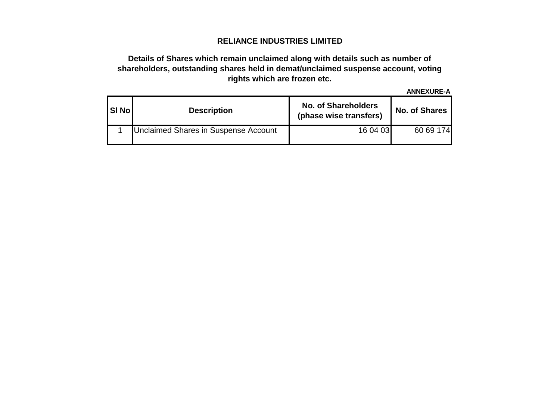# **RELIANCE INDUSTRIES LIMITED**

## **Details of Shares which remain unclaimed along with details such as number of shareholders, outstanding shares held in demat/unclaimed suspense account, voting rights which are frozen etc.**

**ANNEXURE-A**

| <b>SI Nol</b> | <b>Description</b>                   | <b>No. of Shareholders</b><br>(phase wise transfers) | <b>No. of Shares</b> |  |  |  |  |
|---------------|--------------------------------------|------------------------------------------------------|----------------------|--|--|--|--|
|               | Unclaimed Shares in Suspense Account | 16 04 03                                             | 60 69 174            |  |  |  |  |